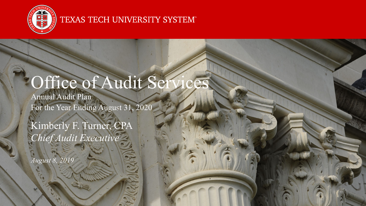

#### TEXAS TECH UNIVERSITY SYSTEM®

# Office of Audit Ser

Annual Audit Plan For the Year Ending August 31, 2020

Kimberly F. Turner, CPA *Chief Audit Executive*

*August 8, 2019*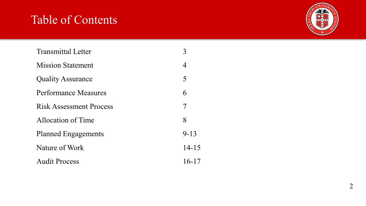## Table of Contents



| <b>Transmittal Letter</b>      |           |
|--------------------------------|-----------|
| <b>Mission Statement</b>       | 4         |
| <b>Quality Assurance</b>       | 5         |
| Performance Measures           | 6         |
| <b>Risk Assessment Process</b> | 7         |
| Allocation of Time             | 8         |
| <b>Planned Engagements</b>     | $9 - 13$  |
| Nature of Work                 | $14 - 15$ |
| <b>Audit Process</b>           | $16 - 17$ |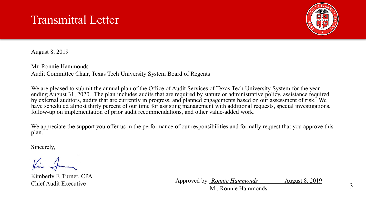## Transmittal Letter



August 8, 2019

Mr. Ronnie Hammonds Audit Committee Chair, Texas Tech University System Board of Regents

We are pleased to submit the annual plan of the Office of Audit Services of Texas Tech University System for the year ending August 31, 2020. The plan includes audits that are required by statute or administrative policy, assistance required by external auditors, audits that are currently in progress, and planned engagements based on our assessment of risk. We have scheduled almost thirty percent of our time for assisting management with additional requests, special investigations, follow-up on implementation of prior audit recommendations, and other value-added work.

We appreciate the support you offer us in the performance of our responsibilities and formally request that you approve this plan.

Sincerely,

Kimberly F. Turner, CPA

Chief Audit Executive Approved by: *Ronnie Hammonds* August 8, 2019 Mr. Ronnie Hammonds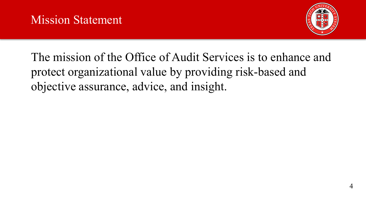

The mission of the Office of Audit Services is to enhance and protect organizational value by providing risk-based and objective assurance, advice, and insight.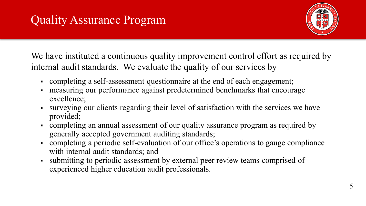

We have instituted a continuous quality improvement control effort as required by internal audit standards. We evaluate the quality of our services by

- completing a self-assessment questionnaire at the end of each engagement;
- measuring our performance against predetermined benchmarks that encourage excellence;
- surveying our clients regarding their level of satisfaction with the services we have provided;
- completing an annual assessment of our quality assurance program as required by generally accepted government auditing standards;
- completing a periodic self-evaluation of our office's operations to gauge compliance with internal audit standards; and
- submitting to periodic assessment by external peer review teams comprised of experienced higher education audit professionals.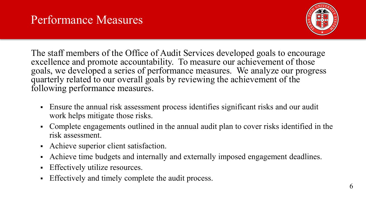

The staff members of the Office of Audit Services developed goals to encourage excellence and promote accountability. To measure our achievement of those goals, we developed a series of performance measures. We analyze our progress quarterly related to our overall goals by reviewing the achievement of the following performance measures.

- Ensure the annual risk assessment process identifies significant risks and our audit work helps mitigate those risks.
- Complete engagements outlined in the annual audit plan to cover risks identified in the risk assessment.
- Achieve superior client satisfaction.
- Achieve time budgets and internally and externally imposed engagement deadlines.
- **Effectively utilize resources.**
- Effectively and timely complete the audit process.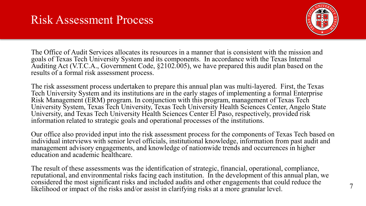## Risk Assessment Process



7

The Office of Audit Services allocates its resources in a manner that is consistent with the mission and goals of Texas Tech University System and its components. In accordance with the Texas Internal Auditing Act (V.T.C.A., Government Code, §2102.005), we have prepared this audit plan based on the results of a formal risk assessment process.

The risk assessment process undertaken to prepare this annual plan was multi-layered. First, the Texas Tech University System and its institutions are in the early stages of implementing a formal Enterprise Risk Management (ERM) program. In conjunction with this program, management of Texas Tech University System, Texas Tech University, Texas Tech University Health Sciences Center, Angelo State University, and Texas Tech University Health Sciences Center El Paso, respectively, provided risk information related to strategic goals and operational processes of the institutions.

Our office also provided input into the risk assessment process for the components of Texas Tech based on individual interviews with senior level officials, institutional knowledge, information from past audit and management advisory engagements, and knowledge of nationwide trends and occurrences in higher education and academic healthcare.

The result of these assessments was the identification of strategic, financial, operational, compliance, reputational, and environmental risks facing each institution. In the development of this annual plan, we considered the most significant risks and included audits and other engagements that could reduce the likelihood or impact of the risks and/or assist in clarifying risks at a more granular level.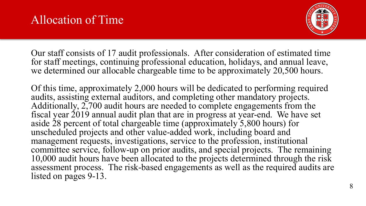

Our staff consists of 17 audit professionals. After consideration of estimated time for staff meetings, continuing professional education, holidays, and annual leave, we determined our allocable chargeable time to be approximately 20,500 hours.

Of this time, approximately 2,000 hours will be dedicated to performing required audits, assisting external auditors, and completing other mandatory projects. Additionally,  $2,700$  audit hours are needed to complete engagements from the fiscal year 2019 annual audit plan that are in progress at year-end. We have set aside  $\dot{2}8$  percent of total chargeable time (approximately 5,800 hours) for unscheduled projects and other value-added work, including board and management requests, investigations, service to the profession, institutional committee service, follow-up on prior audits, and special projects. The remaining 10,000 audit hours have been allocated to the projects determined through the risk assessment process. The risk-based engagements as well as the required audits are listed on pages 9-13.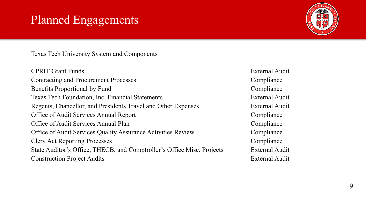## Planned Engagements



Texas Tech University System and Components

CPRIT Grant Funds External Audit Contracting and Procurement Processes Compliance Benefits Proportional by Fund Compliance Texas Tech Foundation, Inc. Financial Statements External Audit Regents, Chancellor, and Presidents Travel and Other Expenses External Audit Office of Audit Services Annual Report Compliance Office of Audit Services Annual Plan Compliance Office of Audit Services Quality Assurance Activities Review Compliance Clery Act Reporting Processes Compliance State Auditor's Office, THECB, and Comptroller's Office Misc. Projects External Audit Construction Project Audits External Audit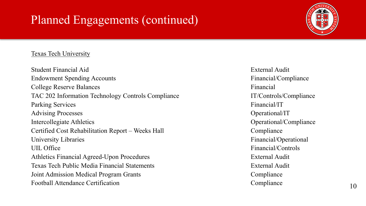#### Texas Tech University

Student Financial Aid **External Audit** External Audit Endowment Spending Accounts Financial/Compliance Financial/Compliance College Reserve Balances Financial TAC 202 Information Technology Controls Compliance IT/Controls/Compliance Parking Services Financial/IT Advising Processes Operational/IT Intercollegiate Athletics Compliance Operational/Compliance Certified Cost Rehabilitation Report – Weeks Hall Compliance University Libraries Financial/Operational UIL Office Financial/Controls Athletics Financial Agreed-Upon Procedures **External Audit** External Audit Texas Tech Public Media Financial Statements External Audit Joint Admission Medical Program Grants Compliance Football Attendance Certification Compliance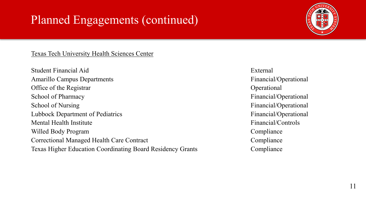

Texas Tech University Health Sciences Center

Student Financial Aid External Amarillo Campus Departments **Financial** Office of the Registrar **Operational** School of Pharmacy Financial/Operational School of Nursing Financial/Operational Lubbock Department of Pediatrics Financial/Operational Mental Health Institute **Financial**/Controls Willed Body Program Compliance Correctional Managed Health Care Contract Compliance Texas Higher Education Coordinating Board Residency Grants Compliance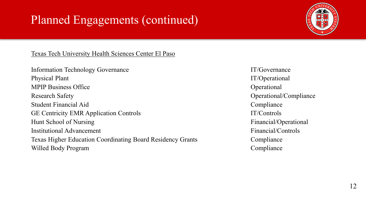

Texas Tech University Health Sciences Center El Paso

Information Technology Governance IT/Governance Physical Plant IT/Operational MPIP Business Office Operational Research Safety **Operational/Compliance** Student Financial Aid Compliance GE Centricity EMR Application Controls IT/Controls Hunt School of Nursing Financial/Operational Institutional Advancement **Financial**/Controls Texas Higher Education Coordinating Board Residency Grants Compliance Willed Body Program Compliance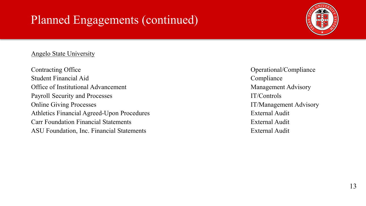#### Angelo State University

Contracting Office Operational/Compliance Student Financial Aid Compliance Office of Institutional Advancement Management Advisory Payroll Security and Processes IT/Controls Online Giving Processes **IT/Management Advisory** Athletics Financial Agreed-Upon Procedures **External Audit** External Audit Carr Foundation Financial Statements External Audit ASU Foundation, Inc. Financial Statements External Audit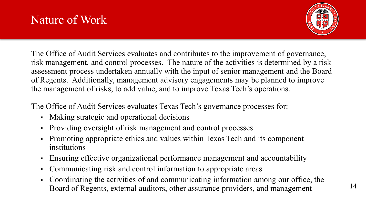

The Office of Audit Services evaluates and contributes to the improvement of governance, risk management, and control processes. The nature of the activities is determined by a risk assessment process undertaken annually with the input of senior management and the Board of Regents. Additionally, management advisory engagements may be planned to improve the management of risks, to add value, and to improve Texas Tech's operations.

The Office of Audit Services evaluates Texas Tech's governance processes for:

- Making strategic and operational decisions
- Providing oversight of risk management and control processes
- Promoting appropriate ethics and values within Texas Tech and its component institutions
- Ensuring effective organizational performance management and accountability
- Communicating risk and control information to appropriate areas
- Coordinating the activities of and communicating information among our office, the Board of Regents, external auditors, other assurance providers, and management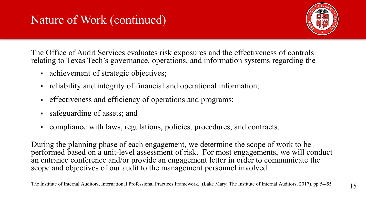## Nature of Work (continued)



The Office of Audit Services evaluates risk exposures and the effectiveness of controls relating to Texas Tech's governance, operations, and information systems regarding the

- achievement of strategic objectives;
- reliability and integrity of financial and operational information;
- effectiveness and efficiency of operations and programs;
- safeguarding of assets; and
- compliance with laws, regulations, policies, procedures, and contracts.

During the planning phase of each engagement, we determine the scope of work to be performed based on a unit-level assessment of risk. For most engagements, we will conduct an entrance conference and/or provide an engagement letter in order to communicate the scope and objectives of our audit to the management personnel involved.

The Institute of Internal Auditors, International Professional Practices Framework. (Lake Mary: The Institute of Internal Auditors, 2017). pp 54-55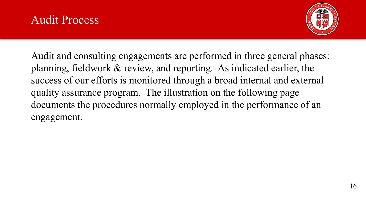#### Audit Process



Audit and consulting engagements are performed in three general phases: planning, fieldwork & review, and reporting. As indicated earlier, the success of our efforts is monitored through a broad internal and external quality assurance program. The illustration on the following page documents the procedures normally employed in the performance of an engagement.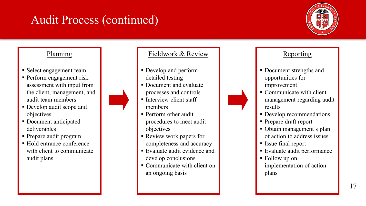## Audit Process (continued)



#### Planning

- **Select engagement team**
- **Perform engagement risk** assessment with input from the client, management, and audit team members
- Develop audit scope and objectives
- Document anticipated deliverables
- Prepare audit program
- Hold entrance conference with client to communicate audit plans



- Develop and perform detailed testing
- **Document and evaluate** processes and controls
- $\blacksquare$  Interview client staff members
- **Perform other audit** procedures to meet audit objectives
- Review work papers for completeness and accuracy
- Evaluate audit evidence and develop conclusions
- Communicate with client on an ongoing basis

#### Reporting

- Document strengths and opportunities for improvement
- Communicate with client management regarding audit results
- Develop recommendations
- Prepare draft report
- Obtain management's plan of action to address issues
- Issue final report
- Evaluate audit performance
- Follow up on implementation of action plans